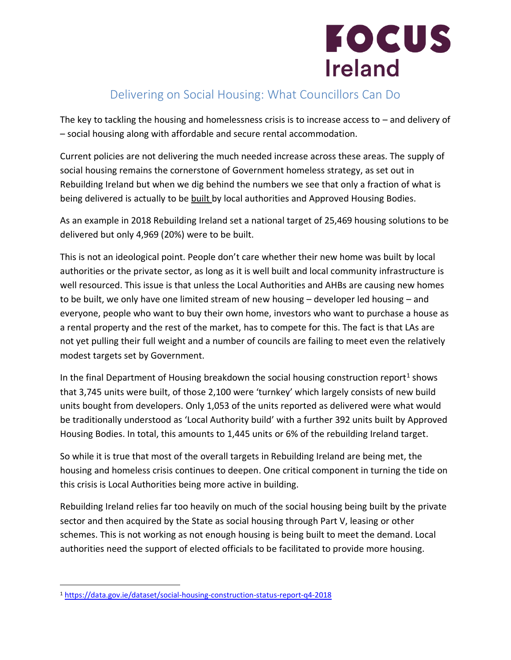

## Delivering on Social Housing: What Councillors Can Do

The key to tackling the housing and homelessness crisis is to increase access to – and delivery of – social housing along with affordable and secure rental accommodation.

Current policies are not delivering the much needed increase across these areas. The supply of social housing remains the cornerstone of Government homeless strategy, as set out in Rebuilding Ireland but when we dig behind the numbers we see that only a fraction of what is being delivered is actually to be built by local authorities and Approved Housing Bodies.

As an example in 2018 Rebuilding Ireland set a national target of 25,469 housing solutions to be delivered but only 4,969 (20%) were to be built.

This is not an ideological point. People don't care whether their new home was built by local authorities or the private sector, as long as it is well built and local community infrastructure is well resourced. This issue is that unless the Local Authorities and AHBs are causing new homes to be built, we only have one limited stream of new housing – developer led housing – and everyone, people who want to buy their own home, investors who want to purchase a house as a rental property and the rest of the market, has to compete for this. The fact is that LAs are not yet pulling their full weight and a number of councils are failing to meet even the relatively modest targets set by Government.

In the final Department of Housing breakdown the social housing construction report<sup>1</sup> shows that 3,745 units were built, of those 2,100 were 'turnkey' which largely consists of new build units bought from developers. Only 1,053 of the units reported as delivered were what would be traditionally understood as 'Local Authority build' with a further 392 units built by Approved Housing Bodies. In total, this amounts to 1,445 units or 6% of the rebuilding Ireland target.

So while it is true that most of the overall targets in Rebuilding Ireland are being met, the housing and homeless crisis continues to deepen. One critical component in turning the tide on this crisis is Local Authorities being more active in building.

Rebuilding Ireland relies far too heavily on much of the social housing being built by the private sector and then acquired by the State as social housing through Part V, leasing or other schemes. This is not working as not enough housing is being built to meet the demand. Local authorities need the support of elected officials to be facilitated to provide more housing.

 $\overline{a}$ 

<sup>1</sup> <https://data.gov.ie/dataset/social-housing-construction-status-report-q4-2018>